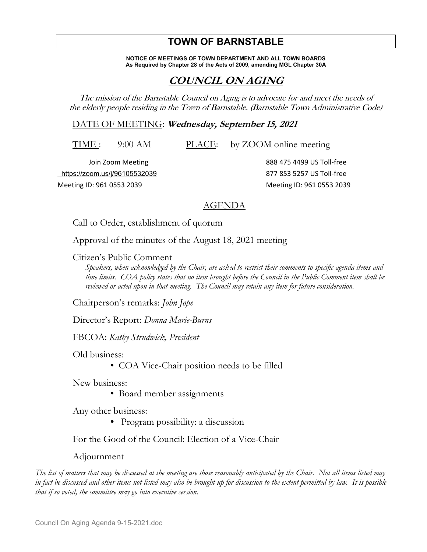## **TOWN OF BARNSTABLE**

**NOTICE OF MEETINGS OF TOWN DEPARTMENT AND ALL TOWN BOARDS As Required by Chapter 28 of the Acts of 2009, amending MGL Chapter 30A**

## **COUNCIL ON AGING**

The mission of the Barnstable Council on Aging is to advocate for and meet the needs of the elderly people residing in the Town of Barnstable. (Barnstable Town Administrative Code)

DATE OF MEETING: **Wednesday, September 15, 2021** 

TIME : 9:00 AM PLACE: by ZOOM online meeting

 https://zoom.us/j/96105532039 877 853 5257 US Toll-free Meeting ID: 961 0553 2039 Meeting ID: 961 0553 2039

Join Zoom Meeting 888 475 4499 US Toll-free

## AGENDA

Call to Order, establishment of quorum

Approval of the minutes of the August 18, 2021 meeting

Citizen's Public Comment

*Speakers, when acknowledged by the Chair, are asked to restrict their comments to specific agenda items and time limits. COA policy states that no item brought before the Council in the Public Comment item shall be reviewed or acted upon in that meeting. The Council may retain any item for future consideration.*

Chairperson's remarks: *John Jope*

Director's Report: *Donna Marie-Burns*

FBCOA: *Kathy Strudwick, President*

Old business:

• COA Vice-Chair position needs to be filled

New business:

• Board member assignments

Any other business:

 **•** Program possibility: a discussion

For the Good of the Council: Election of a Vice-Chair

Adjournment

*The list of matters that may be discussed at the meeting are those reasonably anticipated by the Chair. Not all items listed may in fact be discussed and other items not listed may also be brought up for discussion to the extent permitted by law. It is possible that if so voted, the committee may go into executive session.*